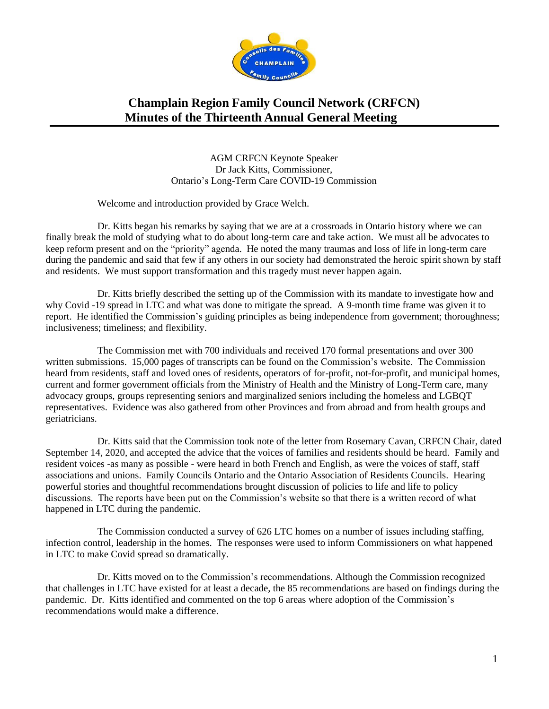

AGM CRFCN Keynote Speaker Dr Jack Kitts, Commissioner, Ontario's Long-Term Care COVID-19 Commission

Welcome and introduction provided by Grace Welch.

Dr. Kitts began his remarks by saying that we are at a crossroads in Ontario history where we can finally break the mold of studying what to do about long-term care and take action. We must all be advocates to keep reform present and on the "priority" agenda. He noted the many traumas and loss of life in long-term care during the pandemic and said that few if any others in our society had demonstrated the heroic spirit shown by staff and residents. We must support transformation and this tragedy must never happen again.

Dr. Kitts briefly described the setting up of the Commission with its mandate to investigate how and why Covid -19 spread in LTC and what was done to mitigate the spread. A 9-month time frame was given it to report. He identified the Commission's guiding principles as being independence from government; thoroughness; inclusiveness; timeliness; and flexibility.

The Commission met with 700 individuals and received 170 formal presentations and over 300 written submissions. 15,000 pages of transcripts can be found on the Commission's website. The Commission heard from residents, staff and loved ones of residents, operators of for-profit, not-for-profit, and municipal homes, current and former government officials from the Ministry of Health and the Ministry of Long-Term care, many advocacy groups, groups representing seniors and marginalized seniors including the homeless and LGBQT representatives. Evidence was also gathered from other Provinces and from abroad and from health groups and geriatricians.

Dr. Kitts said that the Commission took note of the letter from Rosemary Cavan, CRFCN Chair, dated September 14, 2020, and accepted the advice that the voices of families and residents should be heard. Family and resident voices -as many as possible - were heard in both French and English, as were the voices of staff, staff associations and unions. Family Councils Ontario and the Ontario Association of Residents Councils. Hearing powerful stories and thoughtful recommendations brought discussion of policies to life and life to policy discussions. The reports have been put on the Commission's website so that there is a written record of what happened in LTC during the pandemic.

The Commission conducted a survey of 626 LTC homes on a number of issues including staffing, infection control, leadership in the homes. The responses were used to inform Commissioners on what happened in LTC to make Covid spread so dramatically.

Dr. Kitts moved on to the Commission's recommendations. Although the Commission recognized that challenges in LTC have existed for at least a decade, the 85 recommendations are based on findings during the pandemic. Dr. Kitts identified and commented on the top 6 areas where adoption of the Commission's recommendations would make a difference.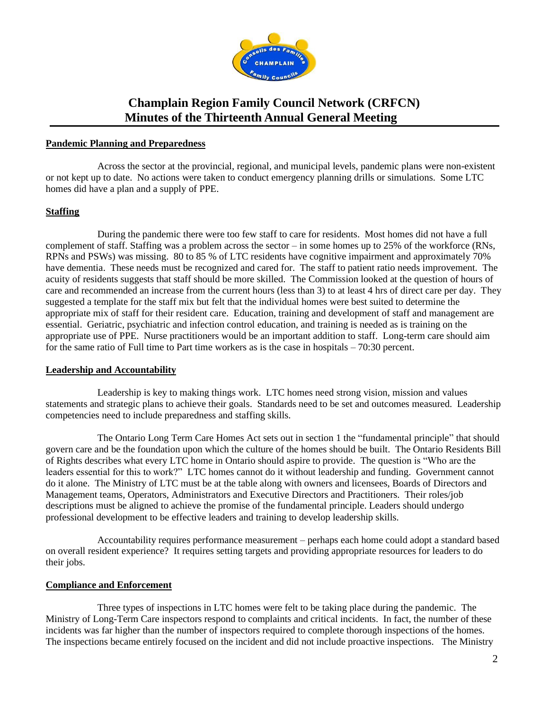

#### **Pandemic Planning and Preparedness**

Across the sector at the provincial, regional, and municipal levels, pandemic plans were non-existent or not kept up to date. No actions were taken to conduct emergency planning drills or simulations. Some LTC homes did have a plan and a supply of PPE.

### **Staffing**

During the pandemic there were too few staff to care for residents. Most homes did not have a full complement of staff. Staffing was a problem across the sector – in some homes up to 25% of the workforce (RNs, RPNs and PSWs) was missing. 80 to 85 % of LTC residents have cognitive impairment and approximately 70% have dementia. These needs must be recognized and cared for. The staff to patient ratio needs improvement. The acuity of residents suggests that staff should be more skilled. The Commission looked at the question of hours of care and recommended an increase from the current hours (less than 3) to at least 4 hrs of direct care per day. They suggested a template for the staff mix but felt that the individual homes were best suited to determine the appropriate mix of staff for their resident care. Education, training and development of staff and management are essential. Geriatric, psychiatric and infection control education, and training is needed as is training on the appropriate use of PPE. Nurse practitioners would be an important addition to staff. Long-term care should aim for the same ratio of Full time to Part time workers as is the case in hospitals – 70:30 percent.

#### **Leadership and Accountability**

Leadership is key to making things work. LTC homes need strong vision, mission and values statements and strategic plans to achieve their goals. Standards need to be set and outcomes measured. Leadership competencies need to include preparedness and staffing skills.

The Ontario Long Term Care Homes Act sets out in section 1 the "fundamental principle" that should govern care and be the foundation upon which the culture of the homes should be built. The Ontario Residents Bill of Rights describes what every LTC home in Ontario should aspire to provide. The question is "Who are the leaders essential for this to work?" LTC homes cannot do it without leadership and funding. Government cannot do it alone. The Ministry of LTC must be at the table along with owners and licensees, Boards of Directors and Management teams, Operators, Administrators and Executive Directors and Practitioners. Their roles/job descriptions must be aligned to achieve the promise of the fundamental principle. Leaders should undergo professional development to be effective leaders and training to develop leadership skills.

Accountability requires performance measurement – perhaps each home could adopt a standard based on overall resident experience? It requires setting targets and providing appropriate resources for leaders to do their jobs.

### **Compliance and Enforcement**

Three types of inspections in LTC homes were felt to be taking place during the pandemic. The Ministry of Long-Term Care inspectors respond to complaints and critical incidents. In fact, the number of these incidents was far higher than the number of inspectors required to complete thorough inspections of the homes. The inspections became entirely focused on the incident and did not include proactive inspections. The Ministry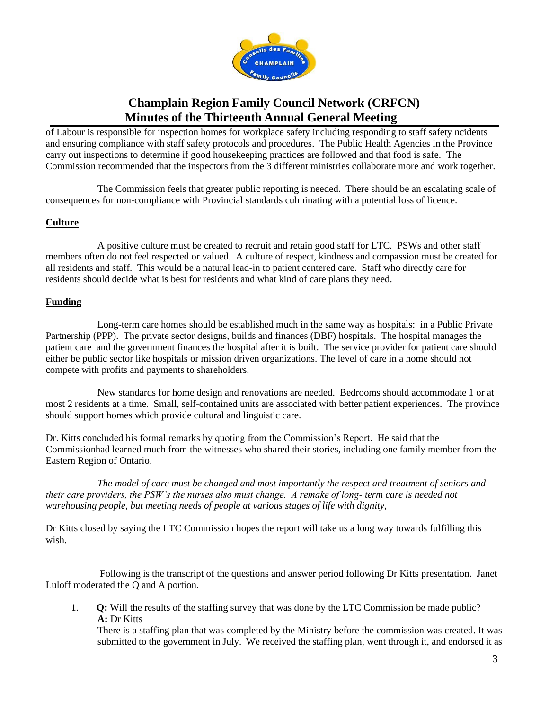

of Labour is responsible for inspection homes for workplace safety including responding to staff safety ncidents and ensuring compliance with staff safety protocols and procedures. The Public Health Agencies in the Province carry out inspections to determine if good housekeeping practices are followed and that food is safe. The Commission recommended that the inspectors from the 3 different ministries collaborate more and work together.

The Commission feels that greater public reporting is needed. There should be an escalating scale of consequences for non-compliance with Provincial standards culminating with a potential loss of licence.

### **Culture**

A positive culture must be created to recruit and retain good staff for LTC. PSWs and other staff members often do not feel respected or valued. A culture of respect, kindness and compassion must be created for all residents and staff. This would be a natural lead-in to patient centered care. Staff who directly care for residents should decide what is best for residents and what kind of care plans they need.

### **Funding**

Long-term care homes should be established much in the same way as hospitals: in a Public Private Partnership (PPP). The private sector designs, builds and finances (DBF) hospitals. The hospital manages the patient care and the government finances the hospital after it is built. The service provider for patient care should either be public sector like hospitals or mission driven organizations. The level of care in a home should not compete with profits and payments to shareholders.

New standards for home design and renovations are needed. Bedrooms should accommodate 1 or at most 2 residents at a time. Small, self-contained units are associated with better patient experiences. The province should support homes which provide cultural and linguistic care.

Dr. Kitts concluded his formal remarks by quoting from the Commission's Report. He said that the Commissionhad learned much from the witnesses who shared their stories, including one family member from the Eastern Region of Ontario.

*The model of care must be changed and most importantly the respect and treatment of seniors and their care providers, the PSW's the nurses also must change. A remake of long- term care is needed not warehousing people, but meeting needs of people at various stages of life with dignity,*

Dr Kitts closed by saying the LTC Commission hopes the report will take us a long way towards fulfilling this wish.

Following is the transcript of the questions and answer period following Dr Kitts presentation. Janet Luloff moderated the Q and A portion.

1. **Q:** Will the results of the staffing survey that was done by the LTC Commission be made public? **A:** Dr Kitts

There is a staffing plan that was completed by the Ministry before the commission was created. It was submitted to the government in July. We received the staffing plan, went through it, and endorsed it as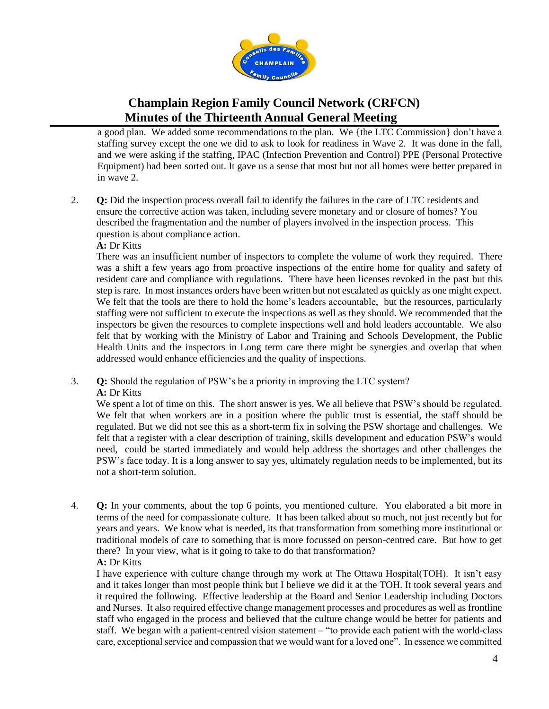

a good plan. We added some recommendations to the plan. We {the LTC Commission} don't have a staffing survey except the one we did to ask to look for readiness in Wave 2. It was done in the fall, and we were asking if the staffing, IPAC (Infection Prevention and Control) PPE (Personal Protective Equipment) had been sorted out. It gave us a sense that most but not all homes were better prepared in in wave 2.

- 2. **Q:** Did the inspection process overall fail to identify the failures in the care of LTC residents and ensure the corrective action was taken, including severe monetary and or closure of homes? You described the fragmentation and the number of players involved in the inspection process. This question is about compliance action.
	- **A:** Dr Kitts

There was an insufficient number of inspectors to complete the volume of work they required. There was a shift a few years ago from proactive inspections of the entire home for quality and safety of resident care and compliance with regulations. There have been licenses revoked in the past but this step is rare. In most instances orders have been written but not escalated as quickly as one might expect. We felt that the tools are there to hold the home's leaders accountable, but the resources, particularly staffing were not sufficient to execute the inspections as well as they should. We recommended that the inspectors be given the resources to complete inspections well and hold leaders accountable. We also felt that by working with the Ministry of Labor and Training and Schools Development, the Public Health Units and the inspectors in Long term care there might be synergies and overlap that when addressed would enhance efficiencies and the quality of inspections.

3. **Q:** Should the regulation of PSW's be a priority in improving the LTC system? **A:** Dr Kitts

We spent a lot of time on this. The short answer is yes. We all believe that PSW's should be regulated. We felt that when workers are in a position where the public trust is essential, the staff should be regulated. But we did not see this as a short-term fix in solving the PSW shortage and challenges. We felt that a register with a clear description of training, skills development and education PSW's would need, could be started immediately and would help address the shortages and other challenges the PSW's face today. It is a long answer to say yes, ultimately regulation needs to be implemented, but its not a short-term solution.

4. **Q:** In your comments, about the top 6 points, you mentioned culture. You elaborated a bit more in terms of the need for compassionate culture. It has been talked about so much, not just recently but for years and years. We know what is needed, its that transformation from something more institutional or traditional models of care to something that is more focussed on person-centred care. But how to get there? In your view, what is it going to take to do that transformation? **A:** Dr Kitts

I have experience with culture change through my work at The Ottawa Hospital(TOH). It isn't easy and it takes longer than most people think but I believe we did it at the TOH. It took several years and it required the following. Effective leadership at the Board and Senior Leadership including Doctors and Nurses. It also required effective change management processes and procedures as well as frontline staff who engaged in the process and believed that the culture change would be better for patients and staff. We began with a patient-centred vision statement – "to provide each patient with the world-class care, exceptional service and compassion that we would want for a loved one". In essence we committed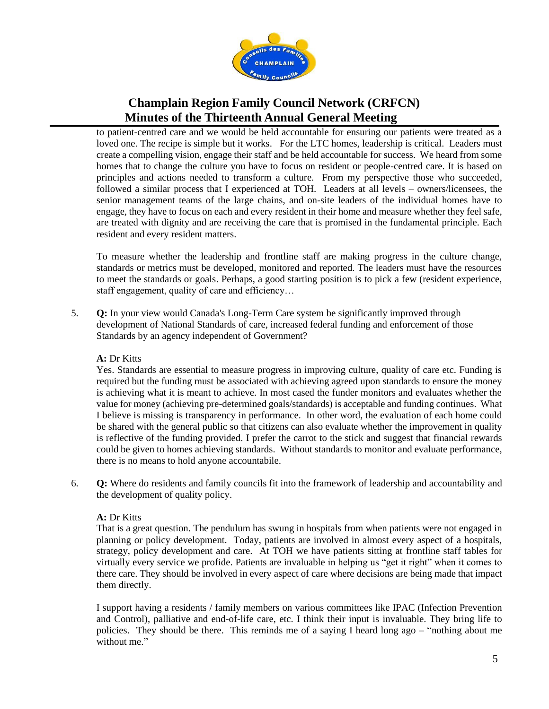

to patient-centred care and we would be held accountable for ensuring our patients were treated as a loved one. The recipe is simple but it works. For the LTC homes, leadership is critical. Leaders must create a compelling vision, engage their staff and be held accountable for success. We heard from some homes that to change the culture you have to focus on resident or people-centred care. It is based on principles and actions needed to transform a culture. From my perspective those who succeeded, followed a similar process that I experienced at TOH. Leaders at all levels – owners/licensees, the senior management teams of the large chains, and on-site leaders of the individual homes have to engage, they have to focus on each and every resident in their home and measure whether they feel safe, are treated with dignity and are receiving the care that is promised in the fundamental principle. Each resident and every resident matters.

To measure whether the leadership and frontline staff are making progress in the culture change, standards or metrics must be developed, monitored and reported. The leaders must have the resources to meet the standards or goals. Perhaps, a good starting position is to pick a few (resident experience, staff engagement, quality of care and efficiency…

5. **Q:** In your view would Canada's Long-Term Care system be significantly improved through development of National Standards of care, increased federal funding and enforcement of those Standards by an agency independent of Government?

### **A:** Dr Kitts

Yes. Standards are essential to measure progress in improving culture, quality of care etc. Funding is required but the funding must be associated with achieving agreed upon standards to ensure the money is achieving what it is meant to achieve. In most cased the funder monitors and evaluates whether the value for money (achieving pre-determined goals/standards) is acceptable and funding continues. What I believe is missing is transparency in performance. In other word, the evaluation of each home could be shared with the general public so that citizens can also evaluate whether the improvement in quality is reflective of the funding provided. I prefer the carrot to the stick and suggest that financial rewards could be given to homes achieving standards. Without standards to monitor and evaluate performance, there is no means to hold anyone accountabile.

6. **Q:** Where do residents and family councils fit into the framework of leadership and accountability and the development of quality policy.

### **A:** Dr Kitts

That is a great question. The pendulum has swung in hospitals from when patients were not engaged in planning or policy development. Today, patients are involved in almost every aspect of a hospitals, strategy, policy development and care. At TOH we have patients sitting at frontline staff tables for virtually every service we profide. Patients are invaluable in helping us "get it right" when it comes to there care. They should be involved in every aspect of care where decisions are being made that impact them directly.

I support having a residents / family members on various committees like IPAC (Infection Prevention and Control), palliative and end-of-life care, etc. I think their input is invaluable. They bring life to policies. They should be there. This reminds me of a saying I heard long ago – "nothing about me without me."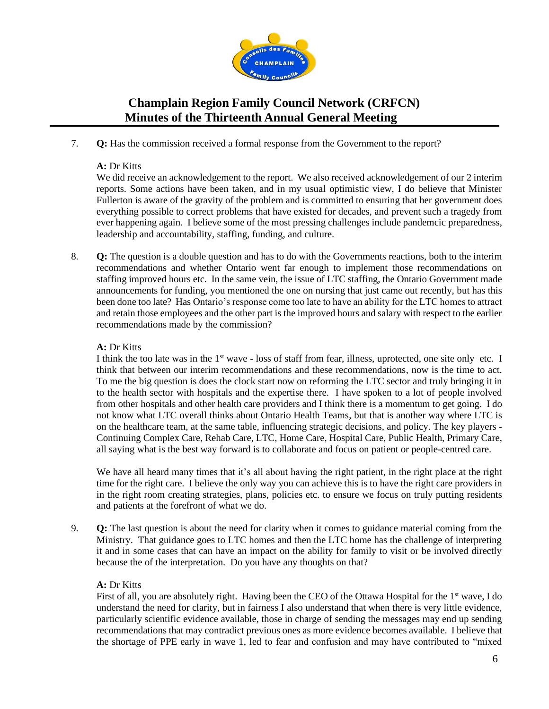

7. **Q:** Has the commission received a formal response from the Government to the report?

### **A:** Dr Kitts

We did receive an acknowledgement to the report. We also received acknowledgement of our 2 interim reports. Some actions have been taken, and in my usual optimistic view, I do believe that Minister Fullerton is aware of the gravity of the problem and is committed to ensuring that her government does everything possible to correct problems that have existed for decades, and prevent such a tragedy from ever happening again. I believe some of the most pressing challenges include pandemcic preparedness, leadership and accountability, staffing, funding, and culture.

8. **Q:** The question is a double question and has to do with the Governments reactions, both to the interim recommendations and whether Ontario went far enough to implement those recommendations on staffing improved hours etc. In the same vein, the issue of LTC staffing, the Ontario Government made announcements for funding, you mentioned the one on nursing that just came out recently, but has this been done too late? Has Ontario's response come too late to have an ability for the LTC homes to attract and retain those employees and the other part is the improved hours and salary with respect to the earlier recommendations made by the commission?

### **A:** Dr Kitts

I think the too late was in the  $1<sup>st</sup>$  wave - loss of staff from fear, illness, uprotected, one site only etc. I think that between our interim recommendations and these recommendations, now is the time to act. To me the big question is does the clock start now on reforming the LTC sector and truly bringing it in to the health sector with hospitals and the expertise there. I have spoken to a lot of people involved from other hospitals and other health care providers and I think there is a momentum to get going. I do not know what LTC overall thinks about Ontario Health Teams, but that is another way where LTC is on the healthcare team, at the same table, influencing strategic decisions, and policy. The key players - Continuing Complex Care, Rehab Care, LTC, Home Care, Hospital Care, Public Health, Primary Care, all saying what is the best way forward is to collaborate and focus on patient or people-centred care.

We have all heard many times that it's all about having the right patient, in the right place at the right time for the right care. I believe the only way you can achieve this is to have the right care providers in in the right room creating strategies, plans, policies etc. to ensure we focus on truly putting residents and patients at the forefront of what we do.

9. **Q:** The last question is about the need for clarity when it comes to guidance material coming from the Ministry. That guidance goes to LTC homes and then the LTC home has the challenge of interpreting it and in some cases that can have an impact on the ability for family to visit or be involved directly because the of the interpretation. Do you have any thoughts on that?

### **A:** Dr Kitts

First of all, you are absolutely right. Having been the CEO of the Ottawa Hospital for the 1<sup>st</sup> wave, I do understand the need for clarity, but in fairness I also understand that when there is very little evidence, particularly scientific evidence available, those in charge of sending the messages may end up sending recommendations that may contradict previous ones as more evidence becomes available. I believe that the shortage of PPE early in wave 1, led to fear and confusion and may have contributed to "mixed